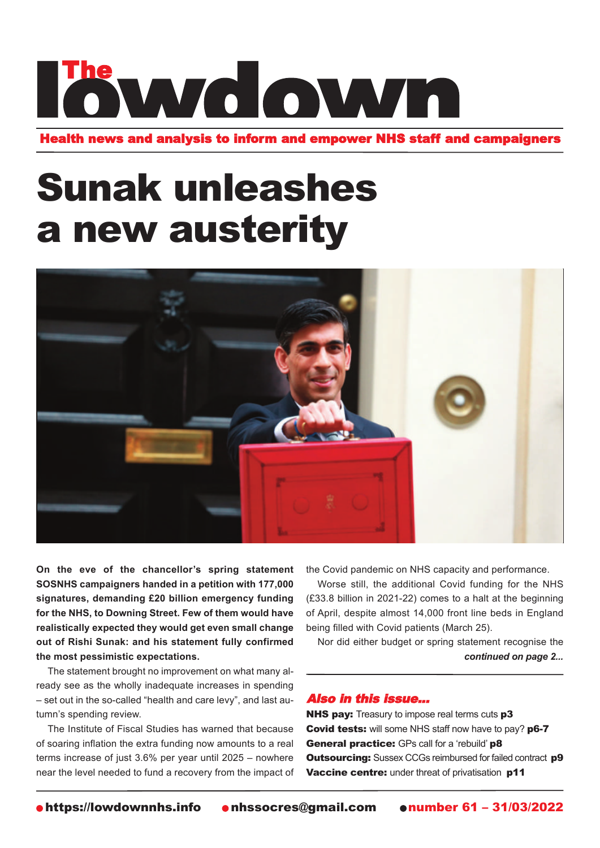# The WMG OWMA

Health news and analysis to inform and empower NHS staff and campaigners

## Sunak unleashes a new austerity



**On the eve of the chancellor's spring statement SOSNHS campaigners handed in a petition with 177,000 signatures, demanding £20 billion emergency funding for the NHS, to Downing Street. Few of them would have realistically expected they would get even small change out of Rishi Sunak: and his statement fully confirmed the most pessimistic expectations.**

The statement brought no improvement on what many already see as the wholly inadequate increases in spending – set out in the so-called "health and care levy", and last autumn's spending review.

The Institute of Fiscal Studies has warned that because of soaring inflation the extra funding now amounts to a real terms increase of just 3.6% per year until 2025 – nowhere near the level needed to fund a recovery from the impact of the Covid pandemic on NHS capacity and performance.

Worse still, the additional Covid funding for the NHS (£33.8 billion in 2021-22) comes to a halt at the beginning of April, despite almost 14,000 front line beds in England being filled with Covid patients (March 25).

Nor did either budget or spring statement recognise the *continued on page 2...*

#### Also in this issue...

NHS pay: Treasury to impose real terms cuts p3 Covid tests: will some NHS staff now have to pay? p6-7 General practice: GPs call for a 'rebuild' p8 **Outsourcing:** Sussex CCGs reimbursed for failed contract **p9** Vaccine centre: under threat of privatisation p11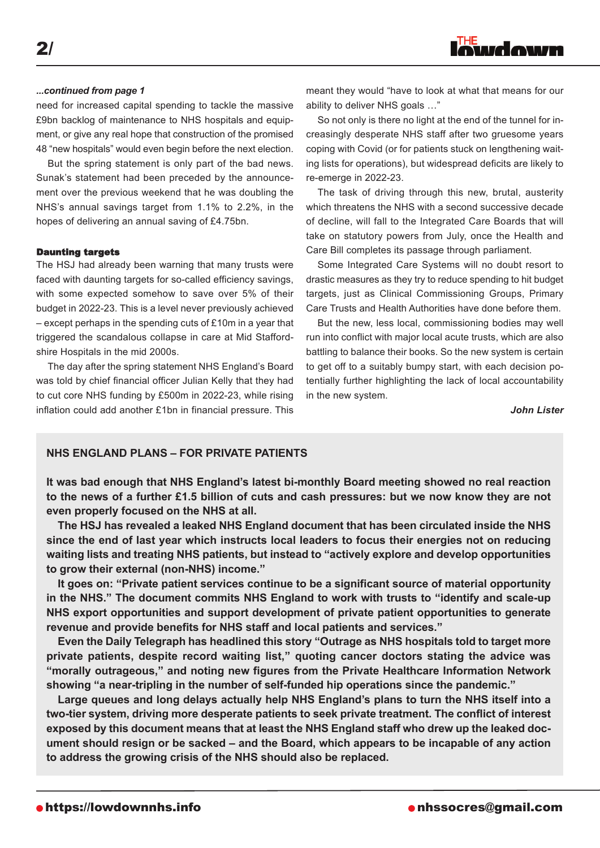2/

need for increased capital spending to tackle the massive £9bn backlog of maintenance to NHS hospitals and equipment, or give any real hope that construction of the promised 48 "new hospitals" would even begin before the next election.

But the spring statement is only part of the bad news. Sunak's statement had been preceded by the announcement over the previous weekend that he was doubling the NHS's annual savings target from 1.1% to 2.2%, in the hopes of delivering an annual saving of £4.75bn.

#### Daunting targets

The HSJ had already been warning that many trusts were faced with daunting targets for so-called efficiency savings, with some expected somehow to save over 5% of their budget in 2022-23. This is a level never previously achieved – except perhaps in the spending cuts of £10m in a year that triggered the scandalous collapse in care at Mid Staffordshire Hospitals in the mid 2000s.

The day after the spring statement NHS England's Board was told by chief financial officer Julian Kelly that they had to cut core NHS funding by £500m in 2022-23, while rising inflation could add another £1bn in financial pressure. This

*...continued from page 1* meant they would "have to look at what that means for our ability to deliver NHS goals …"

> So not only is there no light at the end of the tunnel for increasingly desperate NHS staff after two gruesome years coping with Covid (or for patients stuck on lengthening waiting lists for operations), but widespread deficits are likely to re-emerge in 2022-23.

> The task of driving through this new, brutal, austerity which threatens the NHS with a second successive decade of decline, will fall to the Integrated Care Boards that will take on statutory powers from July, once the Health and Care Bill completes its passage through parliament.

> Some Integrated Care Systems will no doubt resort to drastic measures as they try to reduce spending to hit budget targets, just as Clinical Commissioning Groups, Primary Care Trusts and Health Authorities have done before them.

> But the new, less local, commissioning bodies may well run into conflict with major local acute trusts, which are also battling to balance their books. So the new system is certain to get off to a suitably bumpy start, with each decision potentially further highlighting the lack of local accountability in the new system.

> > *John Lister*

### **NHS ENglaND plaNS – FOR pRivatE patiENtS**

**it was bad enough that NHS England's latest bi-monthly Board meeting showed no real reaction** to the news of a further £1.5 billion of cuts and cash pressures: but we now know they are not **even properly focused on the NHS at all.**

**the HSJ has revealed a leaked NHS England document that has been circulated inside the NHS since the end of last year which instructs local leaders to focus their energies not on reducing waiting lists and treating NHS patients, but instead to "actively explore and develop opportunities to grow their external (non-NHS) income."**

**it goes on: "private patient services continue to be a significant source of material opportunity in the NHS." the document commits NHS England to work with trusts to "identify and scale-up NHS export opportunities and support development of private patient opportunities to generate revenue and provide benefits for NHS staff and local patients and services."**

**Even the Daily telegraph has headlined this story "Outrage as NHS hospitals told to target more private patients, despite record waiting list," quoting cancer doctors stating the advice was "morally outrageous," and noting new figures from the private Healthcare information Network showing "a near-tripling in the number of self-funded hip operations since the pandemic."**

**large queues and long delays actually help NHS England's plans to turn the NHS itself into a two-tier system, driving more desperate patients to seek private treatment. the conflict of interest exposed by this document means that at least the NHS England staff who drew up the leaked document should resign or be sacked – and the Board, which appears to be incapable of any action to address the growing crisis of the NHS should also be replaced.**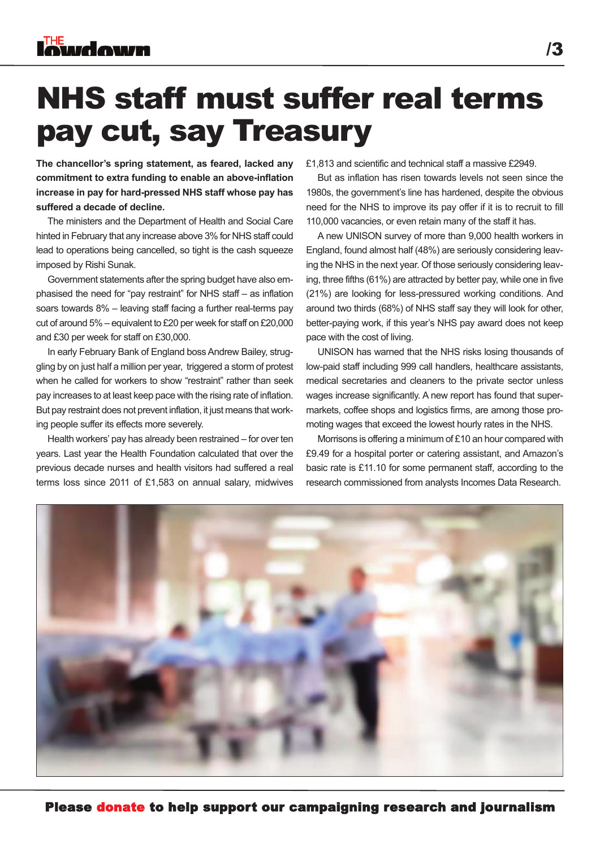

### NHS staff must suffer real terms pay cut, say Treasury

**the chancellor's spring statement, as feared, lacked any commitment to extra funding to enable an above-inflation increase in pay for hard-pressed NHS staff whose pay has suffered a decade of decline.**

The ministers and the Department of Health and Social Care hinted in February that any increase above 3% for NHS staff could lead to operations being cancelled, so tight is the cash squeeze imposed by Rishi Sunak.

Government statements after the spring budget have also emphasised the need for "pay restraint" for NHS staff – as inflation soars towards 8% – leaving staff facing a further real-terms pay cut of around 5% – equivalent to £20 per week for staff on £20,000 and £30 per week for staff on £30,000.

In early February Bank of England boss Andrew Bailey, struggling by on just half a million per year, triggered a storm of protest when he called for workers to show "restraint" rather than seek pay increases to at least keep pace with the rising rate of inflation. But pay restraint does not prevent inflation, it just means that working people suffer its effects more severely.

Health workers' pay has already been restrained – for over ten years. Last year the Health Foundation calculated that over the previous decade nurses and health visitors had suffered a real terms loss since 2011 of £1,583 on annual salary, midwives £1,813 and scientific and technical staff a massive £2949.

But as inflation has risen towards levels not seen since the 1980s, the government's line has hardened, despite the obvious need for the NHS to improve its pay offer if it is to recruit to fill 110,000 vacancies, or even retain many of the staff it has.

A new UNISON survey of more than 9,000 health workers in England, found almost half (48%) are seriously considering leaving the NHS in the next year. Of those seriously considering leaving, three fifths (61%) are attracted by better pay, while one in five (21%) are looking for less-pressured working conditions. And around two thirds (68%) of NHS staff say they will look for other, better-paying work, if this year's NHS pay award does not keep pace with the cost of living.

UNISON has warned that the NHS risks losing thousands of low-paid staff including 999 call handlers, healthcare assistants, medical secretaries and cleaners to the private sector unless wages increase significantly. A new report has found that supermarkets, coffee shops and logistics firms, are among those promoting wages that exceed the lowest hourly rates in the NHS.

Morrisons is offering a minimum of £10 an hour compared with £9.49 for a hospital porter or catering assistant, and Amazon's basic rate is £11.10 for some permanent staff, according to the research commissioned from analysts Incomes Data Research.

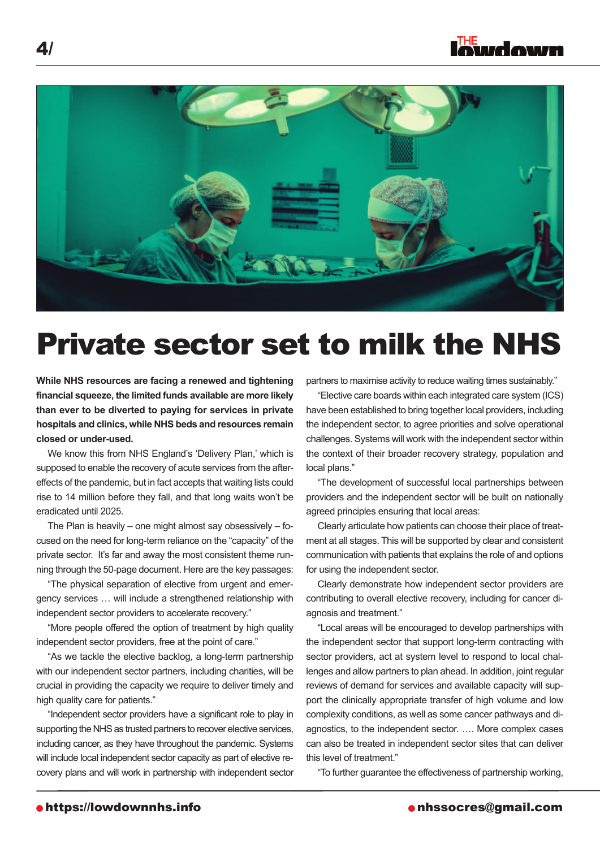



### Private sector set to milk the NHS

**While NHS resources are facing a renewed and tightening financial squeeze, the limited funds available are more likely than ever to be diverted to paying for services in private hospitals and clinics, while NHS beds and resources remain closed or under-used.**

We know this from NHS England's 'Delivery Plan,' which is supposed to enable the recovery of acute services from the aftereffects of the pandemic, but in fact accepts that waiting lists could rise to 14 million before they fall, and that long waits won't be eradicated until 2025.

The Plan is heavily – one might almost say obsessively – focused on the need for long-term reliance on the "capacity" of the private sector. It's far and away the most consistent theme running through the 50-page document. Here are the key passages:

"The physical separation of elective from urgent and emergency services … will include a strengthened relationship with independent sector providers to accelerate recovery."

"More people offered the option of treatment by high quality independent sector providers, free at the point of care."

"As we tackle the elective backlog, a long-term partnership with our independent sector partners, including charities, will be crucial in providing the capacity we require to deliver timely and high quality care for patients."

"Independent sector providers have a significant role to play in supporting the NHS as trusted partners to recover elective services, including cancer, as they have throughout the pandemic. Systems will include local independent sector capacity as part of elective recovery plans and will work in partnership with independent sector partners to maximise activity to reduce waiting times sustainably."

"Elective care boards within each integrated care system (ICS) have been established to bring together local providers, including the independent sector, to agree priorities and solve operational challenges. Systems will work with the independent sector within the context of their broader recovery strategy, population and local plans."

"The development of successful local partnerships between providers and the independent sector will be built on nationally agreed principles ensuring that local areas:

Clearly articulate how patients can choose their place of treatment at all stages. This will be supported by clear and consistent communication with patients that explains the role of and options for using the independent sector.

Clearly demonstrate how independent sector providers are contributing to overall elective recovery, including for cancer diagnosis and treatment."

"Local areas will be encouraged to develop partnerships with the independent sector that support long-term contracting with sector providers, act at system level to respond to local challenges and allow partners to plan ahead. In addition, joint regular reviews of demand for services and available capacity will support the clinically appropriate transfer of high volume and low complexity conditions, as well as some cancer pathways and diagnostics, to the independent sector. …. More complex cases can also be treated in independent sector sites that can deliver this level of treatment."

"To further guarantee the effectiveness of partnership working,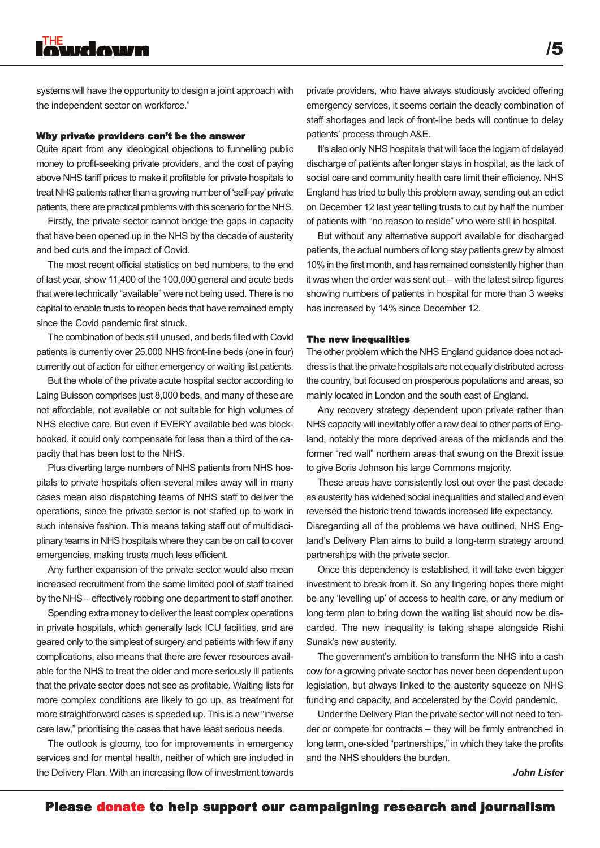systems will have the opportunity to design a joint approach with the independent sector on workforce."

#### Why private providers can't be the answer

Quite apart from any ideological objections to funnelling public money to profit-seeking private providers, and the cost of paying above NHS tariff prices to make it profitable for private hospitals to treat NHS patients rather than a growing number of 'self-pay' private patients, there are practical problems with this scenario for the NHS.

Firstly, the private sector cannot bridge the gaps in capacity that have been opened up in the NHS by the decade of austerity and bed cuts and the impact of Covid.

The most recent official statistics on bed numbers, to the end of last year, show 11,400 of the 100,000 general and acute beds that were technically "available" were not being used. There is no capital to enable trusts to reopen beds that have remained empty since the Covid pandemic first struck.

The combination of beds still unused, and beds filled with Covid patients is currently over 25,000 NHS front-line beds (one in four) currently out of action for either emergency or waiting list patients.

But the whole of the private acute hospital sector according to Laing Buisson comprises just 8,000 beds, and many of these are not affordable, not available or not suitable for high volumes of NHS elective care. But even if EVERY available bed was blockbooked, it could only compensate for less than a third of the capacity that has been lost to the NHS.

Plus diverting large numbers of NHS patients from NHS hospitals to private hospitals often several miles away will in many cases mean also dispatching teams of NHS staff to deliver the operations, since the private sector is not staffed up to work in such intensive fashion. This means taking staff out of multidisciplinary teams in NHS hospitals where they can be on call to cover emergencies, making trusts much less efficient.

Any further expansion of the private sector would also mean increased recruitment from the same limited pool of staff trained by the NHS – effectively robbing one department to staff another.

Spending extra money to deliver the least complex operations in private hospitals, which generally lack ICU facilities, and are geared only to the simplest of surgery and patients with few if any complications, also means that there are fewer resources available for the NHS to treat the older and more seriously ill patients that the private sector does not see as profitable. Waiting lists for more complex conditions are likely to go up, as treatment for more straightforward cases is speeded up. This is a new "inverse care law," prioritising the cases that have least serious needs.

The outlook is gloomy, too for improvements in emergency services and for mental health, neither of which are included in the Delivery Plan. With an increasing flow of investment towards

private providers, who have always studiously avoided offering emergency services, it seems certain the deadly combination of staff shortages and lack of front-line beds will continue to delay patients' process through A&E.

It's also only NHS hospitals that will face the logjam of delayed discharge of patients after longer stays in hospital, as the lack of social care and community health care limit their efficiency. NHS England has tried to bully this problem away, sending out an edict on December 12 last year telling trusts to cut by half the number of patients with "no reason to reside" who were still in hospital.

But without any alternative support available for discharged patients, the actual numbers of long stay patients grew by almost 10% in the first month, and has remained consistently higher than it was when the order was sent out – with the latest sitrep figures showing numbers of patients in hospital for more than 3 weeks has increased by 14% since December 12.

#### The new inequalities

The other problem which the NHS England guidance does not address is that the private hospitals are not equally distributed across the country, but focused on prosperous populations and areas, so mainly located in London and the south east of England.

Any recovery strategy dependent upon private rather than NHS capacity will inevitably offer a raw deal to other parts of England, notably the more deprived areas of the midlands and the former "red wall" northern areas that swung on the Brexit issue to give Boris Johnson his large Commons majority.

These areas have consistently lost out over the past decade as austerity has widened social inequalities and stalled and even reversed the historic trend towards increased life expectancy. Disregarding all of the problems we have outlined, NHS England's Delivery Plan aims to build a long-term strategy around partnerships with the private sector.

Once this dependency is established, it will take even bigger investment to break from it. So any lingering hopes there might be any 'levelling up' of access to health care, or any medium or long term plan to bring down the waiting list should now be discarded. The new inequality is taking shape alongside Rishi Sunak's new austerity.

The government's ambition to transform the NHS into a cash cow for a growing private sector has never been dependent upon legislation, but always linked to the austerity squeeze on NHS funding and capacity, and accelerated by the Covid pandemic.

Under the Delivery Plan the private sector will not need to tender or compete for contracts – they will be firmly entrenched in long term, one-sided "partnerships," in which they take the profits and the NHS shoulders the burden.

*John Lister*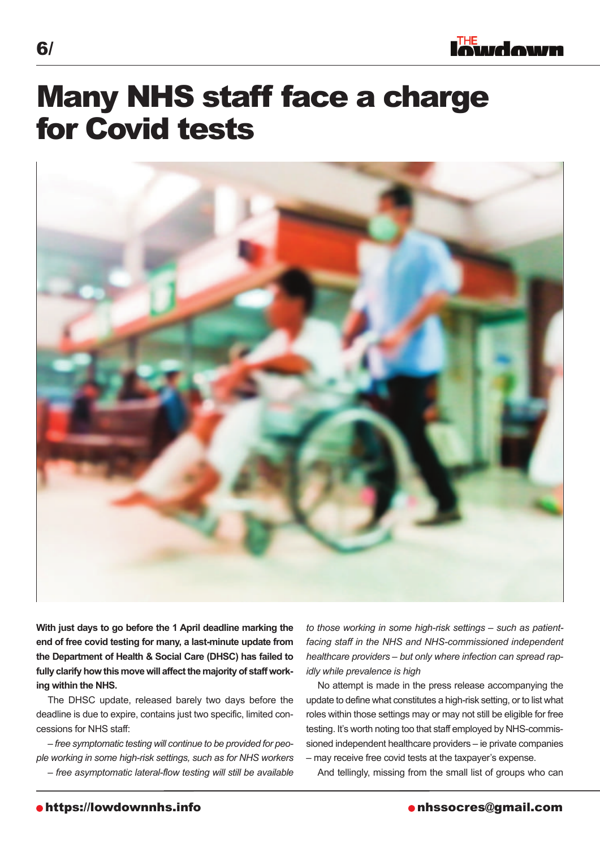### Many NHS staff face a charge for Covid tests



**With just days to go before the 1 april deadline marking the end of free covid testing for many, a last-minute update from the Department of Health & Social Care (DHSC) has failed to** fully clarify how this move will affect the majority of staff work**ing within the NHS.**

The DHSC update, released barely two days before the deadline is due to expire, contains just two specific, limited concessions for NHS staff:

*– free symptomatic testing will continue to be provided for people working in some high-risk settings, such as for NHS workers – free asymptomatic lateral-flow testing will still be available* *to those working in some high-risk settings – such as patientfacing staff in the NHS and NHS-commissioned independent healthcare providers – but only where infection can spread rapidly while prevalence is high*

No attempt is made in the press release accompanying the update to define what constitutes a high-risk setting, or to list what roles within those settings may or may not still be eligible for free testing. It's worth noting too that staff employed by NHS-commissioned independent healthcare providers – ie private companies – may receive free covid tests at the taxpayer's expense.

And tellingly, missing from the small list of groups who can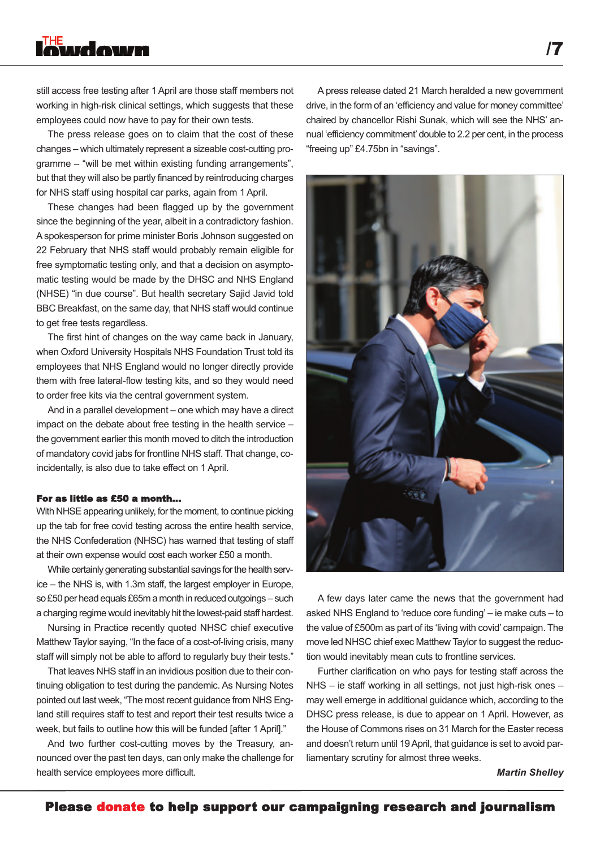### **THE** wdown

still access free testing after 1 April are those staff members not working in high-risk clinical settings, which suggests that these employees could now have to pay for their own tests.

The press release goes on to claim that the cost of these changes – which ultimately represent a sizeable cost-cutting programme – "will be met within existing funding arrangements", but that they will also be partly financed by reintroducing charges for NHS staff using hospital car parks, again from 1 April.

These changes had been flagged up by the government since the beginning of the year, albeit in a contradictory fashion. Aspokesperson for prime minister Boris Johnson suggested on 22 February that NHS staff would probably remain eligible for free symptomatic testing only, and that a decision on asymptomatic testing would be made by the DHSC and NHS England (NHSE) "in due course". But health secretary Sajid Javid told BBC Breakfast, on the same day, that NHS staff would continue to get free tests regardless.

The first hint of changes on the way came back in January, when Oxford University Hospitals NHS Foundation Trust told its employees that NHS England would no longer directly provide them with free lateral-flow testing kits, and so they would need to order free kits via the central government system.

And in a parallel development – one which may have a direct impact on the debate about free testing in the health service – the government earlier this month moved to ditch the introduction of mandatory covid jabs for frontline NHS staff. That change, coincidentally, is also due to take effect on 1 April.

#### For as little as £50 a month...

With NHSE appearing unlikely, for the moment, to continue picking up the tab for free covid testing across the entire health service, the NHS Confederation (NHSC) has warned that testing of staff at their own expense would cost each worker £50 a month.

While certainly generating substantial savings for the health service – the NHS is, with 1.3m staff, the largest employer in Europe, so £50 per head equals £65m a month in reduced outgoings – such a charging regime would inevitably hit the lowest-paid staff hardest.

Nursing in Practice recently quoted NHSC chief executive Matthew Taylor saying, "In the face of a cost-of-living crisis, many staff will simply not be able to afford to regularly buy their tests."

That leaves NHS staff in an invidious position due to their continuing obligation to test during the pandemic. As Nursing Notes pointed out last week, "The most recent guidance from NHS England still requires staff to test and report their test results twice a week, but fails to outline how this will be funded [after 1 April]."

And two further cost-cutting moves by the Treasury, announced over the past ten days, can only make the challenge for health service employees more difficult.

A press release dated 21 March heralded a new government drive, in the form of an 'efficiency and value for money committee' chaired by chancellor Rishi Sunak, which will see the NHS' annual 'efficiency commitment' double to 2.2 per cent, in the process "freeing up" £4.75bn in "savings".



A few days later came the news that the government had asked NHS England to 'reduce core funding' – ie make cuts – to the value of £500m as part of its 'living with covid' campaign. The move led NHSC chief exec Matthew Taylor to suggest the reduction would inevitably mean cuts to frontline services.

Further clarification on who pays for testing staff across the NHS – ie staff working in all settings, not just high-risk ones – may well emerge in additional guidance which, according to the DHSC press release, is due to appear on 1 April. However, as the House of Commons rises on 31 March for the Easter recess and doesn't return until 19April, that guidance is set to avoid parliamentary scrutiny for almost three weeks.

*Martin Shelley*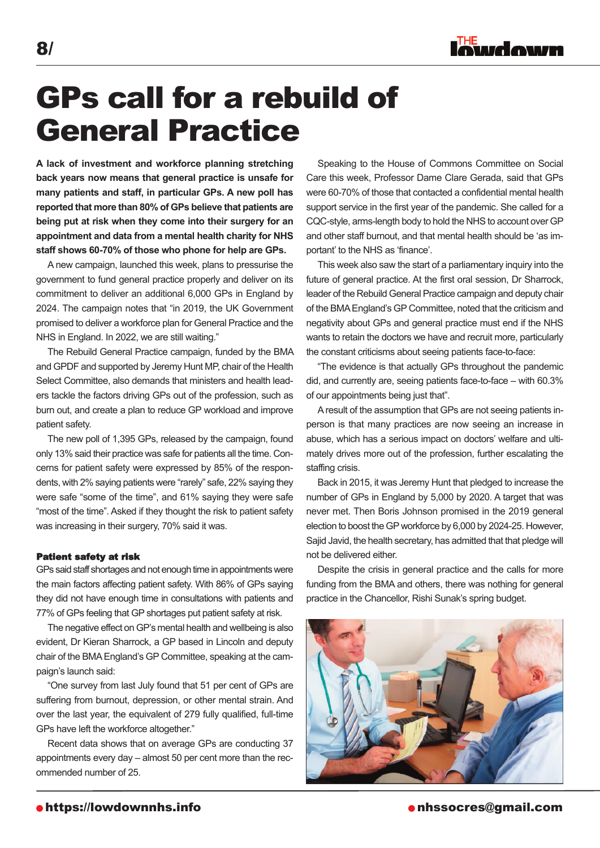

### GPs call for a rebuild of General Practice

**a lack of investment and workforce planning stretching back years now means that general practice is unsafe for many patients and staff, in particular gps. a new poll has reported that more than 80% of gps believe that patients are being put at risk when they come into their surgery for an appointment and data from a mental health charity for NHS staff shows 60-70% of those who phone for help are gps.**

A new campaign, launched this week, plans to pressurise the government to fund general practice properly and deliver on its commitment to deliver an additional 6,000 GPs in England by 2024. The campaign notes that "in 2019, the UK Government promised to deliver a workforce plan for General Practice and the NHS in England. In 2022, we are still waiting."

The Rebuild General Practice campaign, funded by the BMA and GPDF and supported by Jeremy Hunt MP, chair of the Health Select Committee, also demands that ministers and health leaders tackle the factors driving GPs out of the profession, such as burn out, and create a plan to reduce GP workload and improve patient safety.

The new poll of 1,395 GPs, released by the campaign, found only 13% said their practice was safe for patients all the time. Concerns for patient safety were expressed by 85% of the respondents, with 2% saying patients were "rarely" safe, 22% saying they were safe "some of the time", and 61% saying they were safe "most of the time". Asked if they thought the risk to patient safety was increasing in their surgery, 70% said it was.

#### Patient safety at risk

GPs said staff shortages and not enough time in appointments were the main factors affecting patient safety. With 86% of GPs saying they did not have enough time in consultations with patients and 77% of GPs feeling that GP shortages put patient safety at risk.

The negative effect on GP's mental health and wellbeing is also evident, Dr Kieran Sharrock, a GP based in Lincoln and deputy chair of the BMAEngland's GP Committee, speaking at the campaign's launch said:

"One survey from last July found that 51 per cent of GPs are suffering from burnout, depression, or other mental strain. And over the last year, the equivalent of 279 fully qualified, full-time GPs have left the workforce altogether."

Recent data shows that on average GPs are conducting 37 appointments every day – almost 50 per cent more than the recommended number of 25.

Speaking to the House of Commons Committee on Social Care this week, Professor Dame Clare Gerada, said that GPs were 60-70% of those that contacted a confidential mental health support service in the first year of the pandemic. She called for a CQC-style, arms-length body to hold the NHS to account over GP and other staff burnout, and that mental health should be 'as important' to the NHS as 'finance'.

This week also saw the start of a parliamentary inquiry into the future of general practice. At the first oral session, Dr Sharrock, leader of the Rebuild General Practice campaign and deputy chair of the BMAEngland's GP Committee, noted that the criticism and negativity about GPs and general practice must end if the NHS wants to retain the doctors we have and recruit more, particularly the constant criticisms about seeing patients face-to-face:

"The evidence is that actually GPs throughout the pandemic did, and currently are, seeing patients face-to-face – with 60.3% of our appointments being just that".

Aresult of the assumption that GPs are not seeing patients inperson is that many practices are now seeing an increase in abuse, which has a serious impact on doctors' welfare and ultimately drives more out of the profession, further escalating the staffing crisis.

Back in 2015, it was Jeremy Hunt that pledged to increase the number of GPs in England by 5,000 by 2020. A target that was never met. Then Boris Johnson promised in the 2019 general election to boost the GP workforce by 6,000 by 2024-25. However, Sajid Javid, the health secretary, has admitted that that pledge will not be delivered either.

Despite the crisis in general practice and the calls for more funding from the BMA and others, there was nothing for general practice in the Chancellor, Rishi Sunak's spring budget.



**o**https://lowdownnhs.info **notationally a nhastially community of the number of the nhssocres@gmail.com**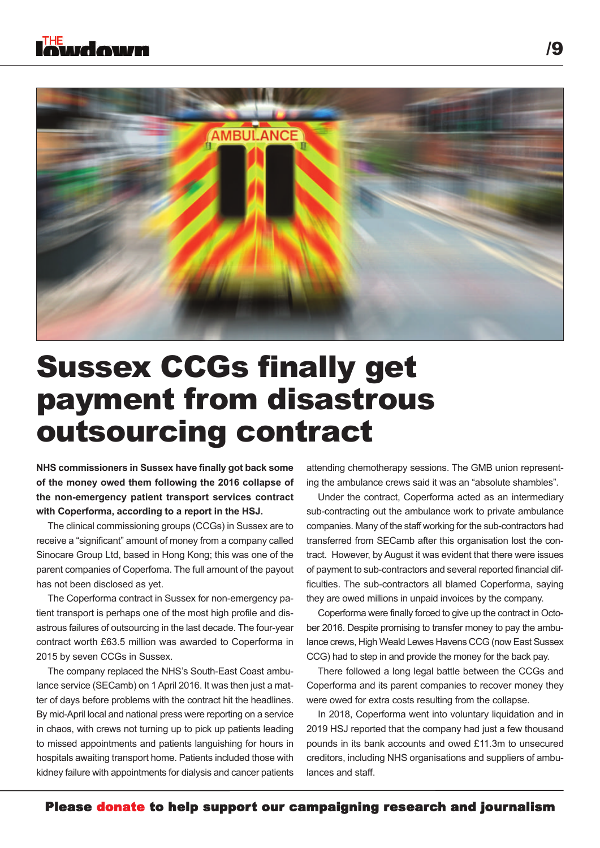

### Sussex CCGs finally get payment from disastrous outsourcing contract

**NHS commissioners in Sussex have finally got back some of the money owed them following the 2016 collapse of the non-emergency patient transport services contract with Coperforma, according to a report in the HSJ.**

The clinical commissioning groups (CCGs) in Sussex are to receive a "significant" amount of money from a company called Sinocare Group Ltd, based in Hong Kong; this was one of the parent companies of Coperfoma. The full amount of the payout has not been disclosed as yet.

The Coperforma contract in Sussex for non-emergency patient transport is perhaps one of the most high profile and disastrous failures of outsourcing in the last decade. The four-year contract worth £63.5 million was awarded to Coperforma in 2015 by seven CCGs in Sussex.

The company replaced the NHS's South-East Coast ambulance service (SECamb) on 1April 2016. It was then just a matter of days before problems with the contract hit the headlines. By mid-April local and national press were reporting on a service in chaos, with crews not turning up to pick up patients leading to missed appointments and patients languishing for hours in hospitals awaiting transport home. Patients included those with kidney failure with appointments for dialysis and cancer patients

attending chemotherapy sessions. The GMB union representing the ambulance crews said it was an "absolute shambles".

Under the contract, Coperforma acted as an intermediary sub-contracting out the ambulance work to private ambulance companies. Many of the staff working for the sub-contractors had transferred from SECamb after this organisation lost the contract. However, by August it was evident that there were issues of payment to sub-contractors and several reported financial difficulties. The sub-contractors all blamed Coperforma, saying they are owed millions in unpaid invoices by the company.

Coperforma were finally forced to give up the contract in October 2016. Despite promising to transfer money to pay the ambulance crews, High Weald Lewes Havens CCG (now East Sussex CCG) had to step in and provide the money for the back pay.

There followed a long legal battle between the CCGs and Coperforma and its parent companies to recover money they were owed for extra costs resulting from the collapse.

In 2018, Coperforma went into voluntary liquidation and in 2019 HSJ reported that the company had just a few thousand pounds in its bank accounts and owed £11.3m to unsecured creditors, including NHS organisations and suppliers of ambulances and staff.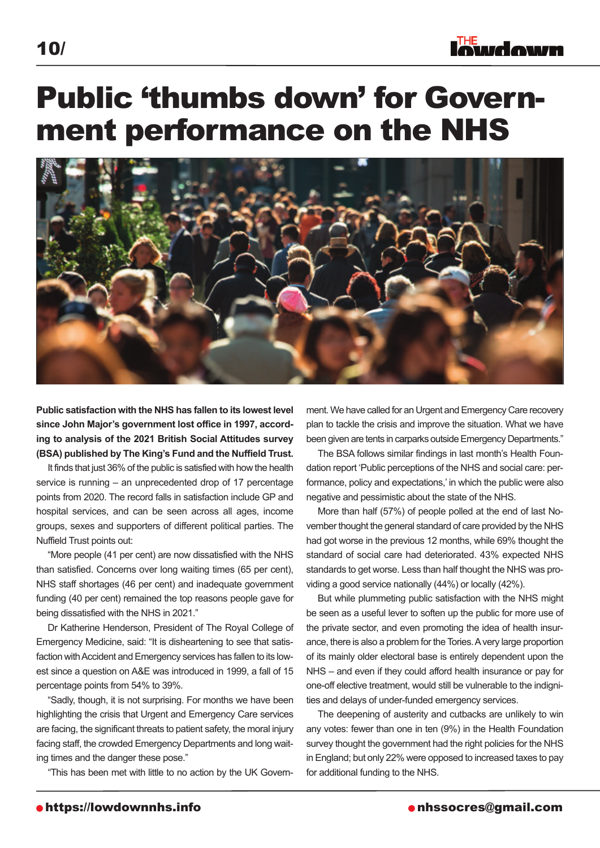### Public 'thumbs down' for Government performance on the NHS



**public satisfaction with the NHS has fallen to its lowest level since John Major's government lost office in 1997, according to analysis of the 2021 British Social attitudes survey (BSa) published by the King's Fund and the Nuffield trust.**

It finds that just 36% of the public is satisfied with how the health service is running – an unprecedented drop of 17 percentage points from 2020. The record falls in satisfaction include GP and hospital services, and can be seen across all ages, income groups, sexes and supporters of different political parties. The Nuffield Trust points out:

"More people (41 per cent) are now dissatisfied with the NHS than satisfied. Concerns over long waiting times (65 per cent), NHS staff shortages (46 per cent) and inadequate government funding (40 per cent) remained the top reasons people gave for being dissatisfied with the NHS in 2021."

Dr Katherine Henderson, President of The Royal College of Emergency Medicine, said: "It is disheartening to see that satisfaction with Accident and Emergency services has fallen to its lowest since a question on A&E was introduced in 1999, a fall of 15 percentage points from 54% to 39%.

"Sadly, though, it is not surprising. For months we have been highlighting the crisis that Urgent and Emergency Care services are facing, the significant threats to patient safety, the moral injury facing staff, the crowded Emergency Departments and long waiting times and the danger these pose."

"This has been met with little to no action by the UK Govern-

ment. We have called for an Urgent and Emergency Care recovery plan to tackle the crisis and improve the situation. What we have been given are tents in carparks outside Emergency Departments."

The BSA follows similar findings in last month's Health Foundation report 'Public perceptions of the NHS and social care: performance, policy and expectations,' in which the public were also negative and pessimistic about the state of the NHS.

More than half (57%) of people polled at the end of last November thought the general standard of care provided by the NHS had got worse in the previous 12 months, while 69% thought the standard of social care had deteriorated. 43% expected NHS standards to get worse. Less than half thought the NHS was providing a good service nationally (44%) or locally (42%).

But while plummeting public satisfaction with the NHS might be seen as a useful lever to soften up the public for more use of the private sector, and even promoting the idea of health insurance, there is also a problem for the Tories. A very large proportion of its mainly older electoral base is entirely dependent upon the NHS – and even if they could afford health insurance or pay for one-off elective treatment, would still be vulnerable to the indignities and delays of under-funded emergency services.

The deepening of austerity and cutbacks are unlikely to win any votes: fewer than one in ten (9%) in the Health Foundation survey thought the government had the right policies for the NHS in England; but only 22% were opposed to increased taxes to pay for additional funding to the NHS.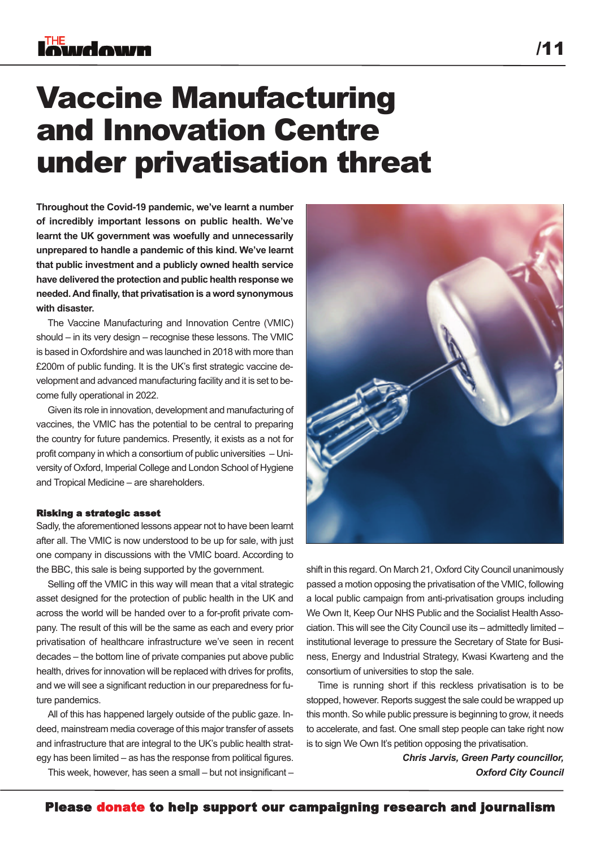### Vaccine Manufacturing and Innovation Centre under privatisation threat

**throughout the Covid-19 pandemic, we've learnt a number of incredibly important lessons on public health. We've learnt the UK government was woefully and unnecessarily unprepared to handle a pandemic of this kind. We've learnt that public investment and a publicly owned health service have delivered the protection and public health response we needed.and finally, that privatisation is a word synonymous with disaster.**

The Vaccine Manufacturing and Innovation Centre (VMIC) should – in its very design – recognise these lessons. The VMIC is based in Oxfordshire and was launched in 2018 with more than £200m of public funding. It is the UK's first strategic vaccine development and advanced manufacturing facility and it is set to become fully operational in 2022.

Given its role in innovation, development and manufacturing of vaccines, the VMIC has the potential to be central to preparing the country for future pandemics. Presently, it exists as a not for profit company in which a consortium of public universities – University of Oxford, Imperial College and London School of Hygiene and Tropical Medicine – are shareholders.

#### Risking a strategic asset

Sadly, the aforementioned lessons appear not to have been learnt after all. The VMIC is now understood to be up for sale, with just one company in discussions with the VMIC board. According to the BBC, this sale is being supported by the government.

Selling off the VMIC in this way will mean that a vital strategic asset designed for the protection of public health in the UK and across the world will be handed over to a for-profit private company. The result of this will be the same as each and every prior privatisation of healthcare infrastructure we've seen in recent decades – the bottom line of private companies put above public health, drives for innovation will be replaced with drives for profits, and we will see a significant reduction in our preparedness for future pandemics.

All of this has happened largely outside of the public gaze. Indeed, mainstream media coverage of this major transfer of assets and infrastructure that are integral to the UK's public health strategy has been limited – as has the response from political figures.

This week, however, has seen a small – but not insignificant –



shift in this regard. On March 21, Oxford City Council unanimously passed a motion opposing the privatisation of the VMIC, following a local public campaign from anti-privatisation groups including We Own It. Keep Our NHS Public and the Socialist Health Association. This will see the City Council use its – admittedly limited – institutional leverage to pressure the Secretary of State for Business, Energy and Industrial Strategy, Kwasi Kwarteng and the consortium of universities to stop the sale.

Time is running short if this reckless privatisation is to be stopped, however. Reports suggest the sale could be wrapped up this month. So while public pressure is beginning to grow, it needs to accelerate, and fast. One small step people can take right now is to sign We Own It's petition opposing the privatisation.

> *Chris Jarvis, Green Party councillor, Oxford City Council*